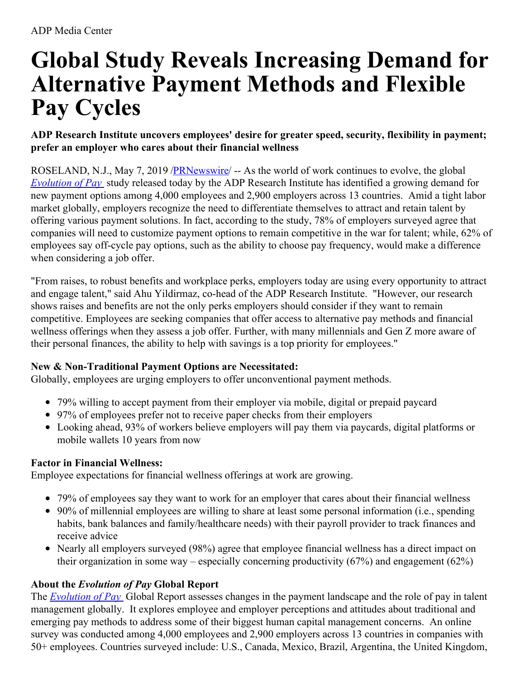# **Global Study Reveals Increasing Demand for Alternative Payment Methods and Flexible Pay Cycles**

## **ADP Research Institute uncovers employees' desire for greater speed, security, flexibility in payment; prefer an employer who cares about their financial wellness**

ROSELAND, N.J., May 7, 2019 [/PRNewswire](http://www.prnewswire.com/)/ -- As the world of work continues to evolve, the global *[Evolution](https://c212.net/c/link/?t=0&l=en&o=2457991-1&h=948204997&u=https%3A%2F%2Fwww.adp.com%2Fresources%2Farticles-and-insights%2Farticles%2Fe%2Fevolution-of-pay.aspx%3Freferrer%3D%257b56CC77E3-6ACC-4295-B70F-2A4A8242FC74%257d&a=Evolution+of+Pay) of Pay* study released today by the ADP Research Institute has identified a growing demand for new payment options among 4,000 employees and 2,900 employers across 13 countries. Amid a tight labor market globally, employers recognize the need to differentiate themselves to attract and retain talent by offering various payment solutions. In fact, according to the study, 78% of employers surveyed agree that companies will need to customize payment options to remain competitive in the war for talent; while, 62% of employees say off-cycle pay options, such as the ability to choose pay frequency, would make a difference when considering a job offer.

"From raises, to robust benefits and workplace perks, employers today are using every opportunity to attract and engage talent," said Ahu Yildirmaz, co-head of the ADP Research Institute. "However, our research shows raises and benefits are not the only perks employers should consider if they want to remain competitive. Employees are seeking companies that offer access to alternative pay methods and financial wellness offerings when they assess a job offer. Further, with many millennials and Gen Z more aware of their personal finances, the ability to help with savings is a top priority for employees."

## **New & Non-Traditional Payment Options are Necessitated:**

Globally, employees are urging employers to offer unconventional payment methods.

- 79% willing to accept payment from their employer via mobile, digital or prepaid paycard
- 97% of employees prefer not to receive paper checks from their employers
- Looking ahead, 93% of workers believe employers will pay them via paycards, digital platforms or mobile wallets 10 years from now

# **Factor in Financial Wellness:**

Employee expectations for financial wellness offerings at work are growing.

- 79% of employees say they want to work for an employer that cares about their financial wellness
- 90% of millennial employees are willing to share at least some personal information (i.e., spending habits, bank balances and family/healthcare needs) with their payroll provider to track finances and receive advice
- Nearly all employers surveyed (98%) agree that employee financial wellness has a direct impact on their organization in some way – especially concerning productivity  $(67%)$  and engagement  $(62%)$

# **About the** *Evolution of Pay* **Global Report**

The *[Evolution](https://c212.net/c/link/?t=0&l=en&o=2457991-1&h=948204997&u=https%3A%2F%2Fwww.adp.com%2Fresources%2Farticles-and-insights%2Farticles%2Fe%2Fevolution-of-pay.aspx%3Freferrer%3D%257b56CC77E3-6ACC-4295-B70F-2A4A8242FC74%257d&a=Evolution+of+Pay) of Pay* Global Report assesses changes in the payment landscape and the role of pay in talent management globally. It explores employee and employer perceptions and attitudes about traditional and emerging pay methods to address some of their biggest human capital management concerns. An online survey was conducted among 4,000 employees and 2,900 employers across 13 countries in companies with 50+ employees. Countries surveyed include: U.S., Canada, Mexico, Brazil, Argentina, the United Kingdom,